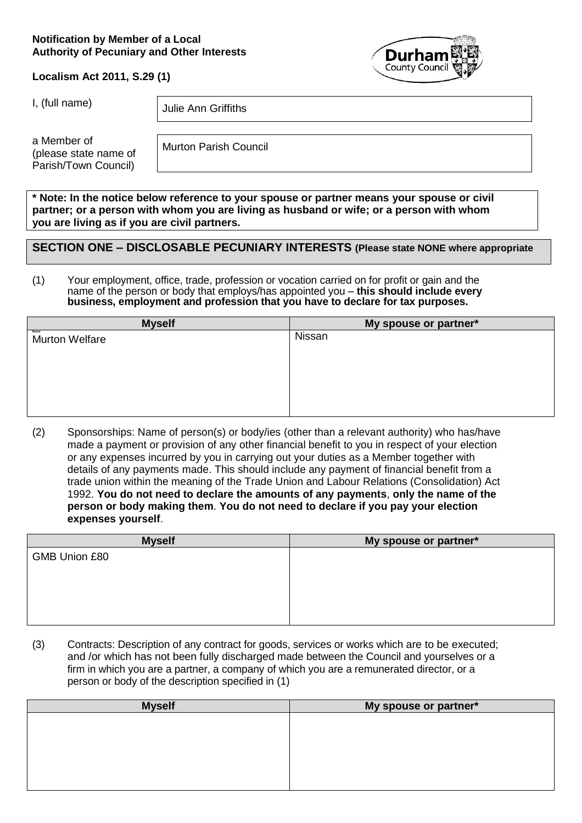#### **Notification by Member of a Local Authority of Pecuniary and Other Interests**



**Localism Act 2011, S.29 (1)**

I, (full name)  $\vert$  Julie Ann Griffiths

a Member of (please state name of Parish/Town Council)

Murton Parish Council

**\* Note: In the notice below reference to your spouse or partner means your spouse or civil partner; or a person with whom you are living as husband or wife; or a person with whom you are living as if you are civil partners.**

### **SECTION ONE – DISCLOSABLE PECUNIARY INTERESTS (Please state NONE where appropriate**

#### (1) Your employment, office, trade, profession or vocation carried on for profit or gain and the name of the person or body that employs/has appointed you – **this should include every business, employment and profession that you have to declare for tax purposes.**

| <b>Myself</b>                   | My spouse or partner* |
|---------------------------------|-----------------------|
| Retire<br><b>Murton Welfare</b> | Nissan                |
|                                 |                       |
|                                 |                       |
|                                 |                       |
|                                 |                       |
|                                 |                       |
|                                 |                       |
|                                 |                       |

(2) Sponsorships: Name of person(s) or body/ies (other than a relevant authority) who has/have made a payment or provision of any other financial benefit to you in respect of your election or any expenses incurred by you in carrying out your duties as a Member together with details of any payments made. This should include any payment of financial benefit from a trade union within the meaning of the Trade Union and Labour Relations (Consolidation) Act 1992. **You do not need to declare the amounts of any payments**, **only the name of the person or body making them**. **You do not need to declare if you pay your election expenses yourself**.

| <b>Myself</b> | My spouse or partner* |
|---------------|-----------------------|
| GMB Union £80 |                       |
|               |                       |
|               |                       |
|               |                       |
|               |                       |
|               |                       |

(3) Contracts: Description of any contract for goods, services or works which are to be executed; and /or which has not been fully discharged made between the Council and yourselves or a firm in which you are a partner, a company of which you are a remunerated director, or a person or body of the description specified in (1)

| <b>Myself</b> | My spouse or partner* |
|---------------|-----------------------|
|               |                       |
|               |                       |
|               |                       |
|               |                       |
|               |                       |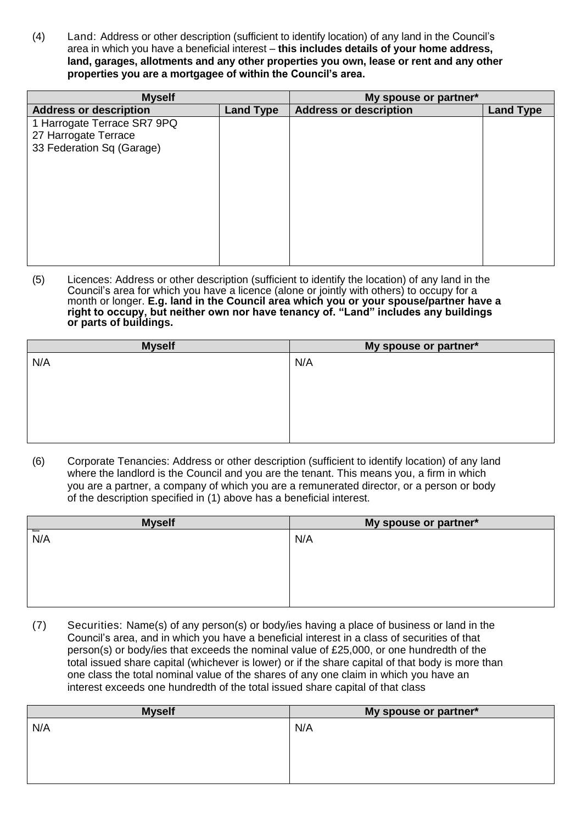(4) Land: Address or other description (sufficient to identify location) of any land in the Council's area in which you have a beneficial interest – **this includes details of your home address, land, garages, allotments and any other properties you own, lease or rent and any other properties you are a mortgagee of within the Council's area.**

| <b>Myself</b>                                                                    |                  | My spouse or partner*         |                  |
|----------------------------------------------------------------------------------|------------------|-------------------------------|------------------|
| <b>Address or description</b>                                                    | <b>Land Type</b> | <b>Address or description</b> | <b>Land Type</b> |
| 1 Harrogate Terrace SR7 9PQ<br>27 Harrogate Terrace<br>33 Federation Sq (Garage) |                  |                               |                  |
|                                                                                  |                  |                               |                  |

(5) Licences: Address or other description (sufficient to identify the location) of any land in the Council's area for which you have a licence (alone or jointly with others) to occupy for a month or longer. **E.g. land in the Council area which you or your spouse/partner have a right to occupy, but neither own nor have tenancy of. "Land" includes any buildings or parts of buildings.**

| <b>Myself</b> | My spouse or partner* |
|---------------|-----------------------|
| N/A           | N/A                   |
|               |                       |
|               |                       |
|               |                       |
|               |                       |
|               |                       |
|               |                       |

(6) Corporate Tenancies: Address or other description (sufficient to identify location) of any land where the landlord is the Council and you are the tenant. This means you, a firm in which you are a partner, a company of which you are a remunerated director, or a person or body of the description specified in (1) above has a beneficial interest.

| <b>Myself</b> | My spouse or partner* |
|---------------|-----------------------|
| N/A           | N/A                   |
|               |                       |
|               |                       |
|               |                       |
|               |                       |
|               |                       |

(7) Securities: Name(s) of any person(s) or body/ies having a place of business or land in the Council's area, and in which you have a beneficial interest in a class of securities of that person(s) or body/ies that exceeds the nominal value of £25,000, or one hundredth of the total issued share capital (whichever is lower) or if the share capital of that body is more than one class the total nominal value of the shares of any one claim in which you have an interest exceeds one hundredth of the total issued share capital of that class

| <b>Myself</b> | My spouse or partner* |
|---------------|-----------------------|
| N/A           | N/A                   |
|               |                       |
|               |                       |
|               |                       |
|               |                       |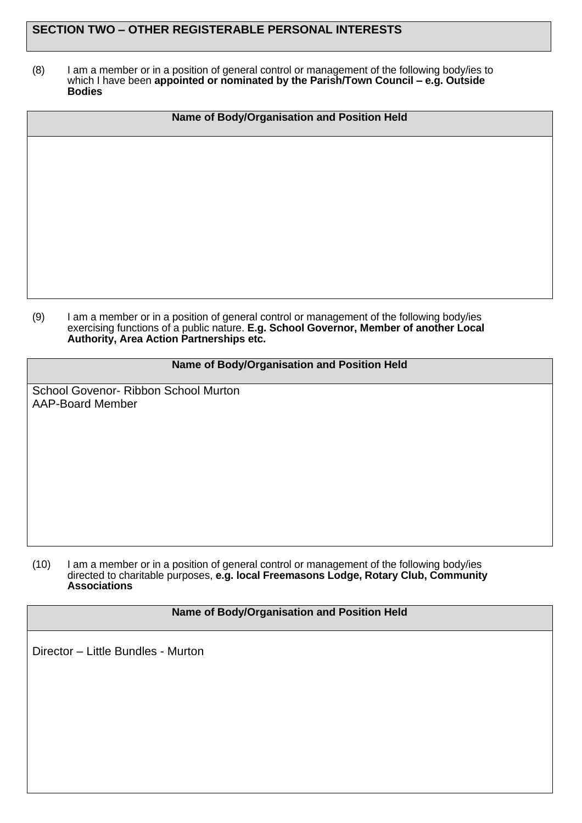## **SECTION TWO – OTHER REGISTERABLE PERSONAL INTERESTS**

(8) I am a member or in a position of general control or management of the following body/ies to which I have been **appointed or nominated by the Parish/Town Council – e.g. Outside Bodies**

| Name of Body/Organisation and Position Held |
|---------------------------------------------|
|                                             |
|                                             |
|                                             |
|                                             |
|                                             |
|                                             |

(9) I am a member or in a position of general control or management of the following body/ies exercising functions of a public nature. **E.g. School Governor, Member of another Local Authority, Area Action Partnerships etc.**

#### **Name of Body/Organisation and Position Held**

School Govenor- Ribbon School Murton AAP-Board Member

(10) I am a member or in a position of general control or management of the following body/ies directed to charitable purposes, **e.g. local Freemasons Lodge, Rotary Club, Community Associations**

#### **Name of Body/Organisation and Position Held**

Director – Little Bundles - Murton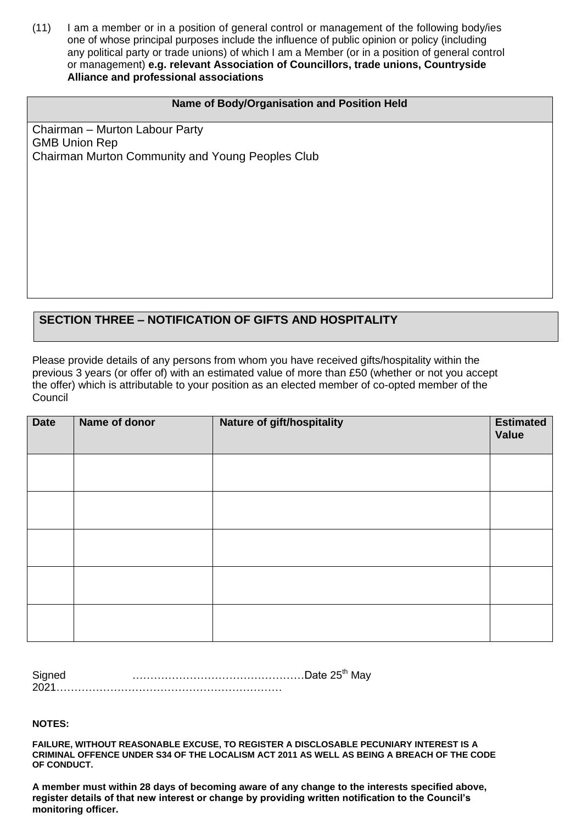(11) I am a member or in a position of general control or management of the following body/ies one of whose principal purposes include the influence of public opinion or policy (including any political party or trade unions) of which I am a Member (or in a position of general control or management) **e.g. relevant Association of Councillors, trade unions, Countryside Alliance and professional associations**

#### **Name of Body/Organisation and Position Held**

Chairman – Murton Labour Party GMB Union Rep Chairman Murton Community and Young Peoples Club

## **SECTION THREE – NOTIFICATION OF GIFTS AND HOSPITALITY**

Please provide details of any persons from whom you have received gifts/hospitality within the previous 3 years (or offer of) with an estimated value of more than £50 (whether or not you accept the offer) which is attributable to your position as an elected member of co-opted member of the **Council** 

| <b>Date</b> | Name of donor | <b>Nature of gift/hospitality</b> | <b>Estimated</b><br>Value |
|-------------|---------------|-----------------------------------|---------------------------|
|             |               |                                   |                           |
|             |               |                                   |                           |
|             |               |                                   |                           |
|             |               |                                   |                           |
|             |               |                                   |                           |

| Signed |  |
|--------|--|
| 202    |  |

**NOTES:**

**FAILURE, WITHOUT REASONABLE EXCUSE, TO REGISTER A DISCLOSABLE PECUNIARY INTEREST IS A CRIMINAL OFFENCE UNDER S34 OF THE LOCALISM ACT 2011 AS WELL AS BEING A BREACH OF THE CODE OF CONDUCT.**

**A member must within 28 days of becoming aware of any change to the interests specified above, register details of that new interest or change by providing written notification to the Council's monitoring officer.**